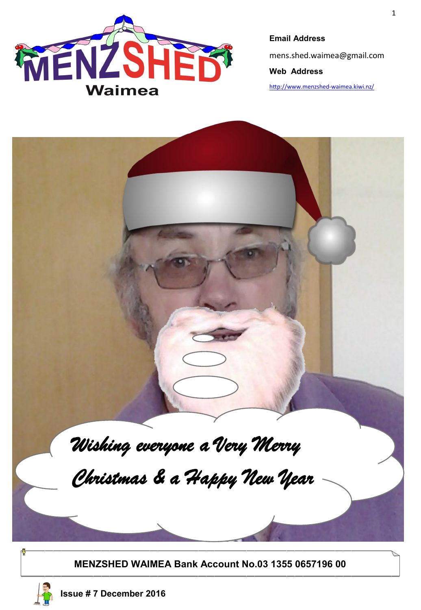

**Email Address**

mens.shed.waimea@gmail.com

**Web Address**

[http://www.menzshed](http://www.menzshed-waimea.kiwi.nz/)-waimea.kiwi.nz/

 $\overline{I}$ HOURS AND THE RESIDENCE OF THE RESIDENCE OF THE RESIDENCE OF THE RESIDENCE OF THE RESIDENCE OF THE RESIDENCE OF THE RESIDENCE OF THE RESIDENCE OF THE RESIDENCE OF THE RESIDENCE OF THE RESIDENCE OF THE RESIDENCE OF THE RESI *Wishing everyone a Very Merry Christmas & a Happy New Year* 

**MENZSHED WAIMEA Bank Account No.03 1355 0657196 00**